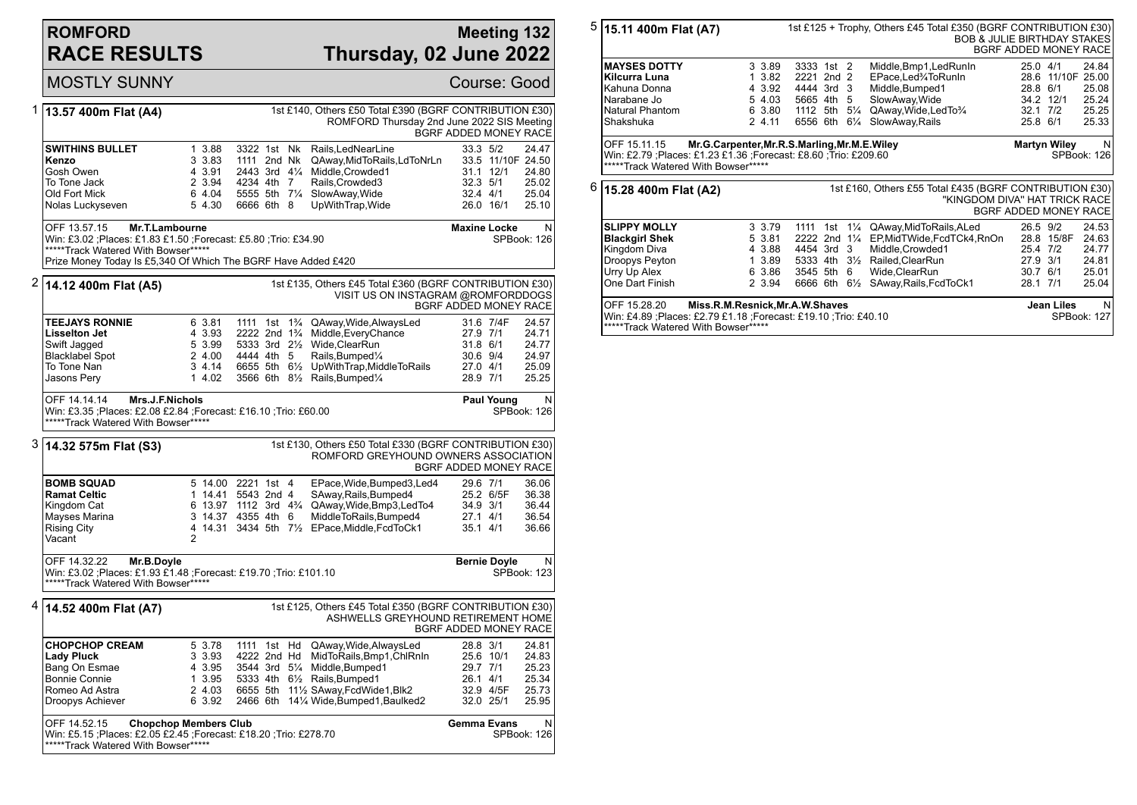## **ROMFORD RACE RESULTS**

## **Meeting 132 Thursday, 02 June 2022**

|   | <b>MOSTLY SUNNY</b>                                                                                                                                                                                      |                                                          |                                                                                          |                                                                                                                                                                                                                                                                                        |                                                          |                                     | Course: Good                                                   |
|---|----------------------------------------------------------------------------------------------------------------------------------------------------------------------------------------------------------|----------------------------------------------------------|------------------------------------------------------------------------------------------|----------------------------------------------------------------------------------------------------------------------------------------------------------------------------------------------------------------------------------------------------------------------------------------|----------------------------------------------------------|-------------------------------------|----------------------------------------------------------------|
| 1 | 13.57 400m Flat (A4)                                                                                                                                                                                     |                                                          |                                                                                          | 1st £140, Others £50 Total £390 (BGRF CONTRIBUTION £30)<br>ROMFORD Thursday 2nd June 2022 SIS Meeting                                                                                                                                                                                  |                                                          |                                     | BGRF ADDED MONEY RACE                                          |
|   | <b>SWITHINS BULLET</b><br>Kenzo<br>Gosh Owen<br>To Tone Jack<br>Old Fort Mick<br>Nolas Luckyseven                                                                                                        | 1 3.88<br>3 3.83<br>4 3.91<br>2 3.94<br>6 4.04<br>5 4.30 | 3322 1st Nk<br>1111 2nd Nk<br>2443 3rd 41/4<br>4234 4th 7<br>5555 5th 71/4<br>6666 6th 8 | Rails, LedNearLine<br>QAway, Mid To Rails, Ld To NrLn<br>Middle, Crowded1<br>Rails, Crowded3<br>SlowAway, Wide<br>UpWithTrap, Wide                                                                                                                                                     | 33.3 5/2<br>32.3 5/1<br>32.4 4/1                         | 31.1 12/1<br>26.0 16/1              | 24.47<br>33.5 11/10F 24.50<br>24.80<br>25.02<br>25.04<br>25.10 |
|   | OFF 13.57.15<br>Mr.T.Lambourne<br>Win: £3.02 ;Places: £1.83 £1.50 ;Forecast: £5.80 ;Trio: £34.90<br>*****Track Watered With Bowser*****<br>Prize Money Today Is £5,340 Of Which The BGRF Have Added £420 |                                                          |                                                                                          |                                                                                                                                                                                                                                                                                        | <b>Maxine Locke</b>                                      |                                     | N<br>SPBook: 126                                               |
| 2 | 14.12 400m Flat (A5)                                                                                                                                                                                     |                                                          |                                                                                          | 1st £135, Others £45 Total £360 (BGRF CONTRIBUTION £30)<br>VISIT US ON INSTAGRAM @ROMFORDDOGS                                                                                                                                                                                          |                                                          |                                     | BGRF ADDED MONEY RACE                                          |
|   | <b>TEEJAYS RONNIE</b><br><b>Lisselton Jet</b><br>Swift Jagged<br><b>Blacklabel Spot</b><br>To Tone Nan<br>Jasons Pery                                                                                    | 6 3.81<br>4 3.93<br>5 3.99<br>2 4.00<br>34.14<br>1 4.02  | 4444 4th 5                                                                               | 1111 1st 1 <sup>3</sup> / <sub>4</sub> QAway, Wide, Always Led<br>2222 2nd 1 <sup>3</sup> /4 Middle, Every Chance<br>5333 3rd 21/ <sub>2</sub> Wide.ClearRun<br>Rails, Bumped <sup>1/4</sup><br>6655 5th 61/ <sub>2</sub> UpWithTrap, MiddleTo Rails<br>3566 6th 81/2 Rails, Bumped1/4 | 27.9 7/1<br>31.8 6/1<br>30.6 9/4<br>27.0 4/1<br>28.9 7/1 | 31.6 7/4F                           | 24.57<br>24.71<br>24.77<br>24.97<br>25.09<br>25.25             |
|   | OFF 14.14.14<br>Mrs.J.F.Nichols<br>Win: £3.35 ;Places: £2.08 £2.84 ;Forecast: £16.10 ;Trio: £60.00<br>*****Track Watered With Bowser*****                                                                |                                                          |                                                                                          |                                                                                                                                                                                                                                                                                        |                                                          | <b>Paul Young</b>                   | N<br>SPBook: 126                                               |
|   | 3  14.32 575m Flat (S3)                                                                                                                                                                                  |                                                          |                                                                                          | 1st £130, Others £50 Total £330 (BGRF CONTRIBUTION £30)<br>ROMFORD GREYHOUND OWNERS ASSOCIATION                                                                                                                                                                                        |                                                          |                                     | BGRF ADDED MONEY RACE                                          |
|   | <b>BOMB SQUAD</b><br><b>Ramat Celtic</b><br>Kingdom Cat<br>Mayses Marina<br><b>Rising City</b><br>Vacant                                                                                                 | $\overline{2}$                                           | 5 14.00 2221 1st 4<br>1 14.41 5543 2nd 4<br>3 14.37 4355 4th 6                           | EPace, Wide, Bumped3, Led4<br>SAway, Rails, Bumped4<br>6 13.97 1112 3rd 4 <sup>3</sup> / <sub>4</sub> QAway, Wide, Bmp3, Led To 4<br>MiddleToRails, Bumped4<br>4 14.31 3434 5th 71/2 EPace, Middle, FcdToCk1                                                                           | 29.6 7/1<br>34.9 3/1<br>27.1 4/1<br>35.1 4/1             | 25.2 6/5F                           | 36.06<br>36.38<br>36.44<br>36.54<br>36.66                      |
|   | OFF 14.32.22<br>Mr.B.Doyle<br>Win: £3.02 ;Places: £1.93 £1.48 ;Forecast: £19.70 ;Trio: £101.10<br>*****Track Watered With Bowser*****                                                                    |                                                          |                                                                                          |                                                                                                                                                                                                                                                                                        | <b>Bernie Doyle</b>                                      |                                     | N<br><b>SPBook: 123</b>                                        |
| 4 | 14.52 400m Flat (A7)                                                                                                                                                                                     |                                                          |                                                                                          | 1st £125, Others £45 Total £350 (BGRF CONTRIBUTION £30)<br>ASHWELLS GREYHOUND RETIREMENT HOME                                                                                                                                                                                          |                                                          |                                     | BGRF ADDED MONEY RACE                                          |
|   | <b>CHOPCHOP CREAM</b><br><b>Lady Pluck</b><br>Bang On Esmae<br><b>Bonnie Connie</b><br>Romeo Ad Astra<br>Droopys Achiever                                                                                | 5 3.78<br>3 3.93<br>4 3.95<br>1 3.95<br>2 4.03<br>6 3.92 | 1111 1st Hd<br>4222 2nd Hd                                                               | QAway, Wide, Always Led<br>MidToRails,Bmp1,ChlRnIn<br>3544 3rd 51/4 Middle, Bumped1<br>5333 4th 61/2 Rails, Bumped1<br>6655 5th 111/2 SAway, FedWide1, Blk2<br>2466 6th 141/4 Wide, Bumped1, Baulked2                                                                                  | 28.8 3/1<br>29.7 7/1<br>$26.1$ 4/1                       | 25.6 10/1<br>32.9 4/5F<br>32.0 25/1 | 24.81<br>24.83<br>25.23<br>25.34<br>25.73<br>25.95             |
|   | <b>Chopchop Members Club</b><br>OFF 14.52.15<br>Win: £5.15 ;Places: £2.05 £2.45 ;Forecast: £18.20 ;Trio: £278.70<br>*****Track Watered With Bowser*****                                                  |                                                          |                                                                                          |                                                                                                                                                                                                                                                                                        | <b>Gemma Evans</b>                                       |                                     | N<br><b>SPBook: 126</b>                                        |

| $5\,$ $\vert$ 15.11 400m Flat (A7)                                                                                                                                                               |        |                                                      |                                                                                               |     |                | 1st £125 + Trophy, Others £45 Total £350 (BGRF CONTRIBUTION £30)                                                                             | <b>BOB &amp; JULIE BIRTHDAY STAKES</b><br>BGRF ADDED MONEY RACE |                                |                                                    |  |  |
|--------------------------------------------------------------------------------------------------------------------------------------------------------------------------------------------------|--------|------------------------------------------------------|-----------------------------------------------------------------------------------------------|-----|----------------|----------------------------------------------------------------------------------------------------------------------------------------------|-----------------------------------------------------------------|--------------------------------|----------------------------------------------------|--|--|
| <b>MAYSES DOTTY</b><br>Kilcurra Luna<br>Kahuna Donna<br>Narabane Jo<br>Natural Phantom<br>Shakshuka                                                                                              | 1<br>5 | 3 3.89<br>3.82<br>4 3.92<br>4.03<br>6 3.80<br>2 4.11 | 3333 1st 2<br>2221 2nd 2<br>4444 3rd 3<br>5665 4th 5<br>1112 5th 51⁄4<br>6556 6th 61/4        |     |                | Middle, Bmp1, Led Run In<br>EPace, Led%ToRunIn<br>Middle, Bumped1<br>SlowAway, Wide<br>QAway, Wide, Led To 3/4<br>SlowAway, Rails            | 25.0 4/1<br>28.8 6/1<br>$32.1$ $7/2$<br>25.8 6/1                | 28.6 11/10F 25.00<br>34.2 12/1 | 24.84<br>25.08<br>25.24<br>25.25<br>25.33          |  |  |
| Mr.G.Carpenter, Mr.R.S.Marling, Mr.M.E.Wiley<br><b>Martyn Wiley</b><br>OFF 15.11.15<br>Win: £2.79 : Places: £1.23 £1.36 ; Forecast: £8.60 ; Trio: £209.60<br>*****Track Watered With Bowser***** |        |                                                      |                                                                                               |     |                |                                                                                                                                              |                                                                 |                                | N<br>SPBook: 126                                   |  |  |
| $6\,$ $\vert$ 15.28 400m Flat (A2)<br>1st £160, Others £55 Total £435 (BGRF CONTRIBUTION £30)<br>"KINGDOM DIVA" HAT TRICK RACE                                                                   |        |                                                      |                                                                                               |     |                |                                                                                                                                              |                                                                 | BGRF ADDED MONEY RACE          |                                                    |  |  |
| <b>SLIPPY MOLLY</b><br><b>Blackgirl Shek</b><br>Kingdom Diva<br>Droopys Peyton<br>Urry Up Alex<br>One Dart Finish                                                                                | 1<br>6 | 3 3.79<br>5 3.81<br>4 3.88<br>3.89<br>3.86<br>2 3.94 | 1111<br>$2222$ 2nd $1\frac{1}{4}$<br>4454 3rd 3<br>5333 4th 31/2<br>3545 5th 6<br>6666 6th 6½ | 1st | $1\frac{1}{4}$ | QAway, Mid To Rails, ALed<br>EP, MidTWide, FcdTCk4, RnOn<br>Middle, Crowded1<br>Railed, ClearRun<br>Wide, ClearRun<br>SAway, Rails, FcdToCk1 | 26.5 9/2<br>25.4 7/2<br>27.9 3/1<br>30.7 6/1<br>28.1 7/1        | 28.8 15/8F                     | 24.53<br>24.63<br>24.77<br>24.81<br>25.01<br>25.04 |  |  |
| OFF 15.28.20<br>Miss.R.M.Resnick, Mr.A.W.Shaves<br>Win: £4.89 ;Places: £2.79 £1.18 ;Forecast: £19.10 ;Trio: £40.10                                                                               |        |                                                      |                                                                                               |     |                |                                                                                                                                              |                                                                 |                                | N<br>SPBook: 127                                   |  |  |

\*\*\*\*\*Track Watered With Bowser\*\*\*\*\*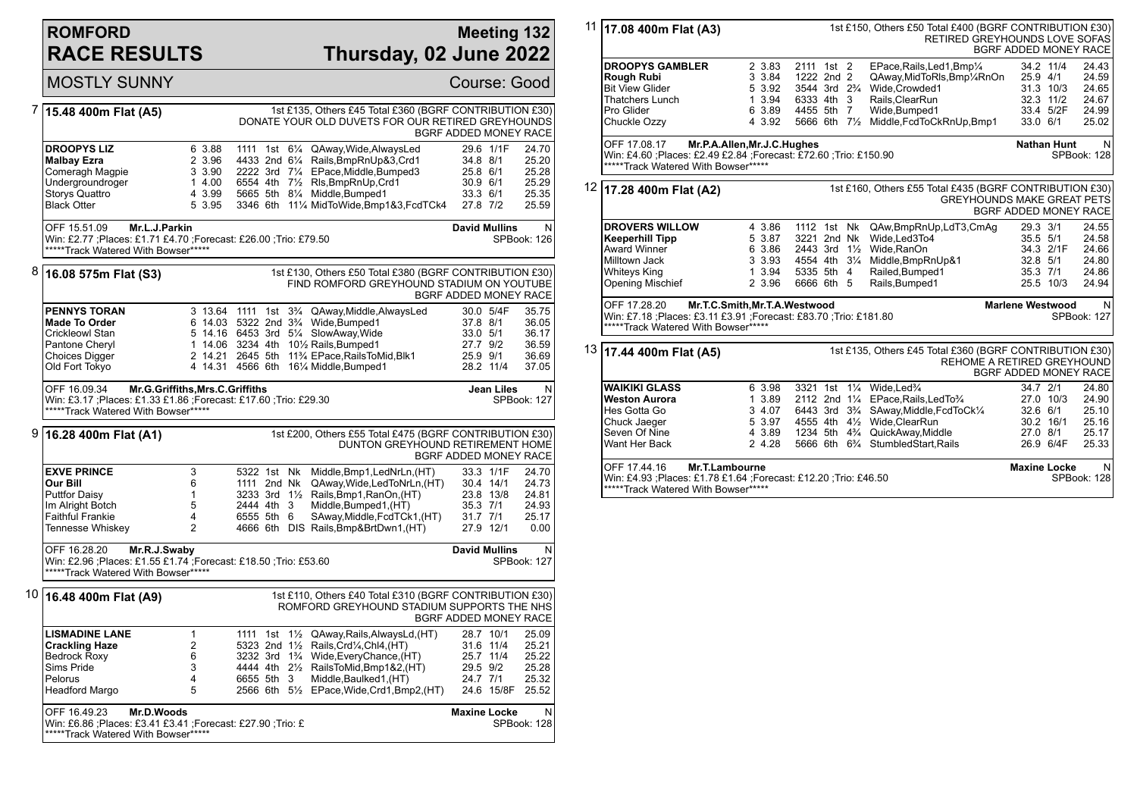## **ROMFORD RACE RESULTS**

### **Meeting 132 Thursday, 02 June 2022**

|   | <b>MOSTLY SUNNY</b>                                                                                                                                          |                                                                 |                          |  |                                                                                                                                                                                                                                                                                                                                       |                                                          |                                                  | Course: Good                                                  |
|---|--------------------------------------------------------------------------------------------------------------------------------------------------------------|-----------------------------------------------------------------|--------------------------|--|---------------------------------------------------------------------------------------------------------------------------------------------------------------------------------------------------------------------------------------------------------------------------------------------------------------------------------------|----------------------------------------------------------|--------------------------------------------------|---------------------------------------------------------------|
| 7 | 15.48 400m Flat (A5)                                                                                                                                         |                                                                 |                          |  | 1st £135, Others £45 Total £360 (BGRF CONTRIBUTION £30)<br>DONATE YOUR OLD DUVETS FOR OUR RETIRED GREYHOUNDS                                                                                                                                                                                                                          |                                                          |                                                  | BGRF ADDED MONEY RACE                                         |
|   | <b>DROOPYS LIZ</b><br><b>Malbay Ezra</b><br>Comeragh Magpie<br>Undergroundroger<br><b>Storys Quattro</b><br><b>Black Otter</b>                               | 6 3.88<br>2 3.96<br>3 3.90<br>14.00<br>4 3.99<br>5 3.95         |                          |  | 1111 1st 61/4 QAway, Wide, Always Led<br>$3.002100$ $0$ $4$ Kalls, BmpRnUp&3, Crd1<br>2222 3rd 71/4 EPace, Middle, Bumped3<br>6554 4th 71/2 RIs, BmpRnUp, Crd1<br>5665 5th 81/4 Middle, Bumped1<br>3346 6th 111/3 MidT-11/2<br>3346 6th 111/4 MidToWide, Bmp1&3, FcdTCk4                                                              | 34.8 8/1<br>25.8 6/1<br>30.9 6/1<br>33.3 6/1<br>27.8 7/2 | 29.6 1/1F                                        | 24.70<br>25.20<br>25.28<br>25.29<br>25.35<br>25.59            |
|   | OFF 15.51.09<br>Mr.L.J.Parkin<br>Win: £2.77 ; Places: £1.71 £4.70 ; Forecast: £26.00 ; Trio: £79.50<br>*****Track Watered With Bowser*****                   |                                                                 |                          |  |                                                                                                                                                                                                                                                                                                                                       | <b>David Mullins</b>                                     |                                                  | $\mathsf{N}$<br>SPBook: 126                                   |
| 8 | 16.08 575m Flat (S3)                                                                                                                                         |                                                                 |                          |  | 1st £130, Others £50 Total £380 (BGRF CONTRIBUTION £30)<br>FIND ROMFORD GREYHOUND STADIUM ON YOUTUBE                                                                                                                                                                                                                                  |                                                          |                                                  | BGRF ADDED MONEY RACE                                         |
|   | <b>PENNYS TORAN</b><br><b>Made To Order</b><br>Crickleowl Stan<br>Pantone Cheryl<br>Choices Digger<br>Old Fort Tokyo                                         |                                                                 |                          |  | 3 13.64 1111 1st 3 <sup>3</sup> /4 QAway, Middle, Always Led<br>6 14.03 5322 2nd 3 <sup>3</sup> / <sub>4</sub> Wide, Bumped1<br>5 14.16 6453 3rd 51/4 SlowAway, Wide<br>1 14.06 3234 4th 101/2 Rails, Bumped 1<br>2 14.21 2645 5th 11 <sup>3</sup> /4 EPace, RailsToMid, Blk1<br>4 14.31 4566 6th 161/4 Middle, Bumped1               | 37.8 8/1<br>33.0 5/1<br>27.7 9/2<br>25.9 9/1             | 30.0 5/4F<br>28.2 11/4                           | 35.75<br>36.05<br>36.17<br>36.59<br>36.69<br>37.05            |
|   | OFF 16.09.34<br>Mr.G.Griffiths, Mrs.C.Griffiths<br>Win: £3.17 ; Places: £1.33 £1.86 ; Forecast: £17.60 ; Trio: £29.30<br>*****Track Watered With Bowser***** |                                                                 |                          |  |                                                                                                                                                                                                                                                                                                                                       |                                                          | Jean Liles                                       | N<br>SPBook: 127                                              |
| 9 | 16.28 400m Flat (A1)                                                                                                                                         |                                                                 |                          |  | 1st £200, Others £55 Total £475 (BGRF CONTRIBUTION £30)<br>DUNTON GREYHOUND RETIREMENT HOME                                                                                                                                                                                                                                           |                                                          |                                                  | BGRF ADDED MONEY RACE                                         |
|   | <b>EXVE PRINCE</b><br>Our Bill<br><b>Puttfor Daisy</b><br>Im Alright Botch<br><b>Faithful Frankie</b><br>Tennesse Whiskey                                    | 3<br>6<br>$\mathbf{1}$<br>5<br>$\overline{4}$<br>$\overline{2}$ | 2444 4th 3<br>6555 5th 6 |  | 5322 1st Nk Middle, Bmp1, LedNrLn, (HT)<br>1111 2nd Nk QAway, Wide, Led To NrLn, (HT)<br>$3233$ 3rd $1\frac{111}{2}$ Rails, Bmp1, RanOn, (HT)<br>Middle, Bumped1, (HT)<br>SAway, Middle, FcdTCK1, (HT)<br>4666 6th DIS Rails, Bmp&BrtDwn1, (HT)                                                                                       | 35.3 7/1<br>31.7 7/1                                     | 33.3 1/1F<br>30.4 14/1<br>23.8 13/8<br>27.9 12/1 | 24.70<br>24.73<br>24.81<br>24.93<br>25.17<br>0.00             |
|   | OFF 16.28.20<br>Mr.R.J.Swaby<br>Win: £2.96 ; Places: £1.55 £1.74 ; Forecast: £18.50 ; Trio: £53.60<br>*****Track Watered With Bowser*****                    |                                                                 |                          |  |                                                                                                                                                                                                                                                                                                                                       | <b>David Mullins</b>                                     |                                                  | N<br>SPBook: 127                                              |
|   | 10 16.48 400m Flat (A9)                                                                                                                                      |                                                                 |                          |  | 1st £110, Others £40 Total £310 (BGRF CONTRIBUTION £30)<br>ROMFORD GREYHOUND STADIUM SUPPORTS THE NHS                                                                                                                                                                                                                                 |                                                          |                                                  | BGRF ADDED MONEY RACE                                         |
|   | <b>LISMADINE LANE</b><br><b>Crackling Haze</b><br><b>Bedrock Roxy</b><br>Sims Pride<br>Pelorus<br>Headford Margo                                             | $\mathbf{1}$<br>$\overline{2}$<br>6<br>3<br>$\overline{4}$<br>5 |                          |  | 1111 1st 1½ QAway, Rails, AlwaysLd, (HT)<br>5323 2nd 1½ Rails, Crd1⁄4, Chl4, (HT)<br>5323  2nd  1½   Rails,Crd¼,Chl4,(HT)<br>3232  3rd   1¾   Wide,EveryChance,(HT)<br>4444 4th $2\frac{1}{2}$ RailsToMid, Bmp1&2, (HT)<br>6655 5th 3 Middle, Baulked 1, (HT)<br>2566 6th 5 <sup>1</sup> / <sub>2</sub> EPace, Wide, Crd1, Bmp2, (HT) | 29.5 9/2<br>24.7 7/1                                     | 28.7 10/1<br>31.6 11/4<br>25.7 11/4              | 25.09<br>25.21<br>25.22<br>25.28<br>25.32<br>24.6 15/8F 25.52 |
|   | OFF 16.49.23<br>Mr.D.Woods                                                                                                                                   |                                                                 |                          |  |                                                                                                                                                                                                                                                                                                                                       | <b>Maxine Locke</b>                                      |                                                  | N                                                             |

|    | 11 17.08 400m Flat (A3)<br>1st £150, Others £50 Total £400 (BGRF CONTRIBUTION £30)<br>RETIRED GREYHOUNDS LOVE SOFAS<br>BGRF ADDED MONEY RACE     |                                                          |                                                        |  |  |                                                                                                                                                                                                                                                                                                                                                       |                                              |                                                              |                                                         |  |
|----|--------------------------------------------------------------------------------------------------------------------------------------------------|----------------------------------------------------------|--------------------------------------------------------|--|--|-------------------------------------------------------------------------------------------------------------------------------------------------------------------------------------------------------------------------------------------------------------------------------------------------------------------------------------------------------|----------------------------------------------|--------------------------------------------------------------|---------------------------------------------------------|--|
|    | <b>DROOPYS GAMBLER</b><br>Rough Rubi<br><b>Bit View Glider</b><br>Thatchers Lunch<br>Pro Glider<br>Chuckle Ozzy                                  | 2 3.83<br>3 3.84<br>5 3.92<br>1 3.94<br>6 3.89<br>4 3.92 | 2111 1st 2<br>1222 2nd 2<br>6333 4th 3<br>4455 5th 7   |  |  | EPace, Rails, Led1, Bmp1/4<br>QAway,MidToRIs,Bmp1⁄4RnOn<br>3544 3rd 2 <sup>3</sup> / <sub>4</sub> Wide.Crowded1<br>Rails, ClearRun<br>Wide, Bumped1<br>5666 6th 71/2 Middle, FcdToCkRnUp, Bmp1                                                                                                                                                        | 33.0 6/1                                     | 34.2 11/4<br>25.9 4/1<br>31.3 10/3<br>32.3 11/2<br>33.4 5/2F | 24.43<br>24.59<br>24.65<br>24.67<br>24.99<br>25.02      |  |
|    | OFF 17.08.17<br>Win: £4.60 ;Places: £2.49 £2.84 ;Forecast: £72.60 ;Trio: £150.90<br>*****Track Watered With Bowser*****                          | Mr.P.A.Allen, Mr.J.C.Hughes                              |                                                        |  |  |                                                                                                                                                                                                                                                                                                                                                       |                                              | <b>Nathan Hunt</b>                                           | N<br>SPBook: 128                                        |  |
|    | 12 17.28 400m Flat (A2)                                                                                                                          |                                                          |                                                        |  |  | 1st £160, Others £55 Total £435 (BGRF CONTRIBUTION £30)<br><b>GREYHOUNDS MAKE GREAT PETS</b>                                                                                                                                                                                                                                                          | BGRF ADDED MONEY RACE                        |                                                              |                                                         |  |
|    | <b>DROVERS WILLOW</b><br><b>Keeperhill Tipp</b><br><b>Award Winner</b><br>Milltown Jack<br>Whiteys King<br>Opening Mischief                      | 4 3.86<br>5 3.87<br>63.86<br>3 3.93<br>1 3.94<br>2 3.96  | 1112 1st Nk<br>3221 2nd Nk<br>5335 5th 4<br>6666 6th 5 |  |  | QAw,BmpRnUp,LdT3,CmAg<br>Wide, Led 3To4<br>2443 3rd 11/2 Wide, RanOn<br>2443 3rd 1½ Wide,RanOn<br>4554 4th 3¼ Middle,BmpRnUp&1<br>Railed.Bumped1<br>Rails, Bumped1                                                                                                                                                                                    | 29.3 3/1<br>35.5 5/1<br>32.8 5/1<br>35.3 7/1 | 34.3 2/1F<br>25.5 10/3                                       | 24.55<br>24.58<br>24.66<br>24.80<br>24.86<br>24.94      |  |
|    | OFF 17.28.20<br>Win: £7.18 ;Places: £3.11 £3.91 ;Forecast: £83.70 ;Trio: £181.80<br>*****Track Watered With Bowser*****                          | Mr.T.C.Smith, Mr.T.A. Westwood                           |                                                        |  |  |                                                                                                                                                                                                                                                                                                                                                       | <b>Marlene Westwood</b>                      |                                                              | N<br>SPBook: 127                                        |  |
| 13 | 17.44 400m Flat (A5)                                                                                                                             |                                                          |                                                        |  |  | 1st £135, Others £45 Total £360 (BGRF CONTRIBUTION £30)<br><b>REHOME A RETIRED GREYHOUND</b>                                                                                                                                                                                                                                                          | BGRF ADDED MONEY RACE                        |                                                              |                                                         |  |
|    | <b>WAIKIKI GLASS</b><br><b>Weston Aurora</b><br>Hes Gotta Go<br>Chuck Jaeger<br>Seven Of Nine<br>Want Her Back<br>Mr.T.Lambourne<br>OFF 17.44.16 | 6 3.98<br>1 3.89<br>3 4.07<br>5 3.97<br>4 3.89<br>2 4.28 |                                                        |  |  | 3321 1st 11/4 Wide, Led <sup>3</sup> / <sub>4</sub><br>2112 2nd 11/4 EPace, Rails, Led To 3/4<br>6443 3rd 3 <sup>3</sup> / <sub>4</sub> SAway, Middle, FcdToCk <sup>1</sup> / <sub>4</sub><br>4555 4th 41/2 Wide, ClearRun<br>1234 5th 4 <sup>3</sup> / <sub>4</sub> QuickAway, Middle<br>5666 6th 6 <sup>3</sup> / <sub>4</sub> StumbledStart, Rails | 34.7 2/1<br>32.6 6/1<br>27.0 8/1             | 27.0 10/3<br>30.2 16/1<br>26.9 6/4F<br><b>Maxine Locke</b>   | 24.80<br>24.90<br>25.10<br>25.16<br>25.17<br>25.33<br>N |  |
|    | Win: £4.93 ; Places: £1.78 £1.64 ; Forecast: £12.20 ; Trio: £46.50<br>*****Track Watered With Bowser*****                                        |                                                          |                                                        |  |  |                                                                                                                                                                                                                                                                                                                                                       |                                              |                                                              |                                                         |  |